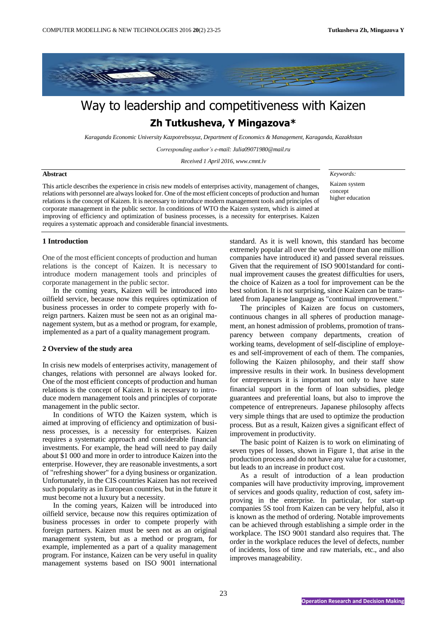

# Way to leadership and competitiveness with Kaizen **Zh Tutkusheva, Y Mingazova\***

*Karaganda Economic University Kazpotrebsoyuz, Department of Economics & Management, Karaganda, Kazakhstan*

*Corresponding author's e-mail: Julia09071980@mail.ru*

*Received 1 April 2016, www.cmnt.lv*

#### **Abstract**

This article describes the experience in crisis new models of enterprises activity, management of changes, relations with personnel are always looked for. One of the most efficient concepts of production and human relations is the concept of Kaizen. It is necessary to introduce modern management tools and principles of corporate management in the public sector. In conditions of WTO the Kaizen system, which is aimed at improving of efficiency and optimization of business processes, is a necessity for enterprises. Kaizen requires a systematic approach and considerable financial investments.

*Keywords:* 

Kaizen system concept higher education

### **1 Introduction**

One of the most efficient concepts of production and human relations is the concept of Kaizen. It is necessary to introduce modern management tools and principles of corporate management in the public sector.

In the coming years, Kaizen will be introduced into oilfield service, because now this requires optimization of business processes in order to compete properly with foreign partners. Kaizen must be seen not as an original management system, but as a method or program, for example, implemented as a part of a quality management program.

## **2 Overview of the study area**

In crisis new models of enterprises activity, management of changes, relations with personnel are always looked for. One of the most efficient concepts of production and human relations is the concept of Kaizen. It is necessary to introduce modern management tools and principles of corporate management in the public sector.

In conditions of WTO the Kaizen system, which is aimed at improving of efficiency and optimization of business processes, is a necessity for enterprises. Kaizen requires a systematic approach and considerable financial investments. For example, the head will need to pay daily about \$1 000 and more in order to introduce Kaizen into the enterprise. However, they are reasonable investments, a sort of "refreshing shower" for a dying business or organization. Unfortunately, in the CIS countries Kaizen has not received such popularity as in European countries, but in the future it must become not a luxury but a necessity.

In the coming years, Kaizen will be introduced into oilfield service, because now this requires optimization of business processes in order to compete properly with foreign partners. Kaizen must be seen not as an original management system, but as a method or program, for example, implemented as a part of a quality management program. For instance, Kaizen can be very useful in quality management systems based on ISO 9001 international

standard. As it is well known, this standard has become extremely popular all over the world (more than one million companies have introduced it) and passed several reissues. Given that the requirement of ISO 9001standard for continual improvement causes the greatest difficulties for users, the choice of Kaizen as a tool for improvement can be the best solution. It is not surprising, since Kaizen can be translated from Japanese language as "continual improvement."

The principles of Kaizen are focus on customers, continuous changes in all spheres of production management, an honest admission of problems, promotion of transparency between company departments, creation of working teams, development of self-discipline of employees and self-improvement of each of them. The companies, following the Kaizen philosophy, and their staff show impressive results in their work. In business development for entrepreneurs it is important not only to have state financial support in the form of loan subsidies, pledge guarantees and preferential loans, but also to improve the competence of entrepreneurs. Japanese philosophy affects very simple things that are used to optimize the production process. But as a result, Kaizen gives a significant effect of improvement in productivity.

The basic point of Kaizen is to work on eliminating of seven types of losses, shown in Figure 1, that arise in the production process and do not have any value for a customer, but leads to an increase in product cost.

As a result of introduction of a lean production companies will have productivity improving, improvement of services and goods quality, reduction of cost, safety improving in the enterprise. In particular, for start-up companies 5S tool from Kaizen can be very helpful, also it is known as the method of ordering. Notable improvements can be achieved through establishing a simple order in the workplace. The ISO 9001 standard also requires that. The order in the workplace reduces the level of defects, number of incidents, loss of time and raw materials, etc., and also improves manageability.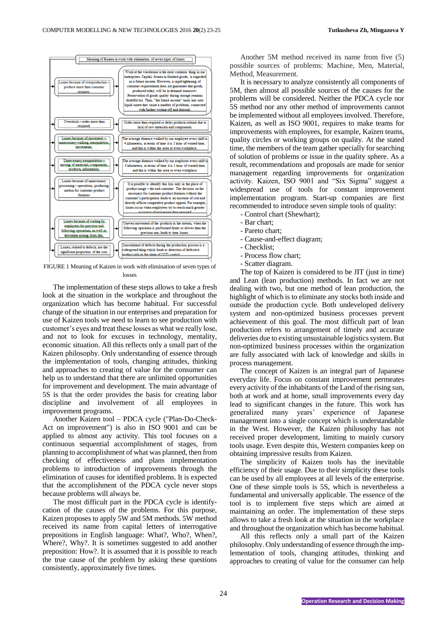

FIGURE 1 Meaning of Kaizen in work with elimination of seven types of losses

The implementation of these steps allows to take a fresh look at the situation in the workplace and throughout the organization which has become habitual. For successful change of the situation in our enterprises and preparation for use of Kaizen tools we need to learn to see production with customer's eyes and treat these losses as what we really lose, and not to look for excuses in technology, mentality, economic situation. All this reflects only a small part of the Kaizen philosophy. Only understanding of essence through the implementation of tools, changing attitudes, thinking and approaches to creating of value for the consumer can help us to understand that there are unlimited opportunities for improvement and development. The main advantage of 5S is that the order provides the basis for creating labor discipline and involvement of all employees in improvement programs.

Another Kaizen tool – PDCA cycle ("Plan-Do-Check-Act on improvement") is also in ISO 9001 and can be applied to almost any activity. This tool focuses on a continuous sequential accomplishment of stages, from planning to accomplishment of what was planned, then from checking of effectiveness and plans implementation problems to introduction of improvements through the elimination of causes for identified problems. It is expected that the accomplishment of the PDCA cycle never stops because problems will always be.

The most difficult part in the PDCA cycle is identifycation of the causes of the problems. For this purpose, Kaizen proposes to apply 5W and 5M methods. 5W method received its name from capital letters of interrogative prepositions in English language: What?, Who?, When?, Where?, Why?. It is sometimes suggested to add another preposition: How?. It is assumed that it is possible to reach the true cause of the problem by asking these questions consistently, approximately five times.

Another 5M method received its name from five (5) possible sources of problems: Machine, Men, Material, Method, Measurement.

It is necessary to analyze consistently all components of 5M, then almost all possible sources of the causes for the problems will be considered. Neither the PDCA cycle nor 5S method nor any other method of improvements cannot be implemented without all employees involved. Therefore, Kaizen, as well as ISO 9001, requires to make teams for improvements with employees, for example, Kaizen teams, quality circles or working groups on quality. At the stated time, the members of the team gather specially for searching of solution of problems or issue in the quality sphere. As a result, recommendations and proposals are made for senior management regarding improvements for organization activity. Kaizen, ISO 9001 and "Six Sigma" suggest a widespread use of tools for constant improvement implementation program. Start-up companies are first recommended to introduce seven simple tools of quality:

- Control chart (Shewhart);
- Bar chart;
- Pareto chart;
- Cause-and-effect diagram;
- Checklist;
- Process flow chart;
- Scatter diagram.

The top of Kaizen is considered to be JIT (just in time) and Lean (lean production) methods. In fact we are not dealing with two, but one method of lean production, the highlight of which is to eliminate any stocks both inside and outside the production cycle. Both undeveloped delivery system and non-optimized business processes prevent achievement of this goal. The most difficult part of lean production refers to arrangement of timely and accurate deliveries due to existing unsustainable logistics system. But non-optimized business processes within the organization are fully associated with lack of knowledge and skills in process management.

The concept of Kaizen is an integral part of Japanese everyday life. Focus on constant improvement permeates every activity of the inhabitants of the Land of the rising sun, both at work and at home, small improvements every day lead to significant changes in the future. This work has generalized many years' experience of Japanese management into a single concept which is understandable in the West. However, the Kaizen philosophy has not received proper development, limiting to mainly cursory tools usage. Even despite this, Western companies keep on obtaining impressive results from Kaizen.

The simplicity of Kaizen tools has the inevitable efficiency of their usage. Due to their simplicity these tools can be used by all employees at all levels of the enterprise. One of these simple tools is 5S, which is nevertheless a fundamental and universally applicable. The essence of the tool is to implement five steps which are aimed at maintaining an order. The implementation of these steps allows to take a fresh look at the situation in the workplace and throughout the organization which has become habitual.

All this reflects only a small part of the Kaizen philosophy. Only understanding of essence through the implementation of tools, changing attitudes, thinking and approaches to creating of value for the consumer can help